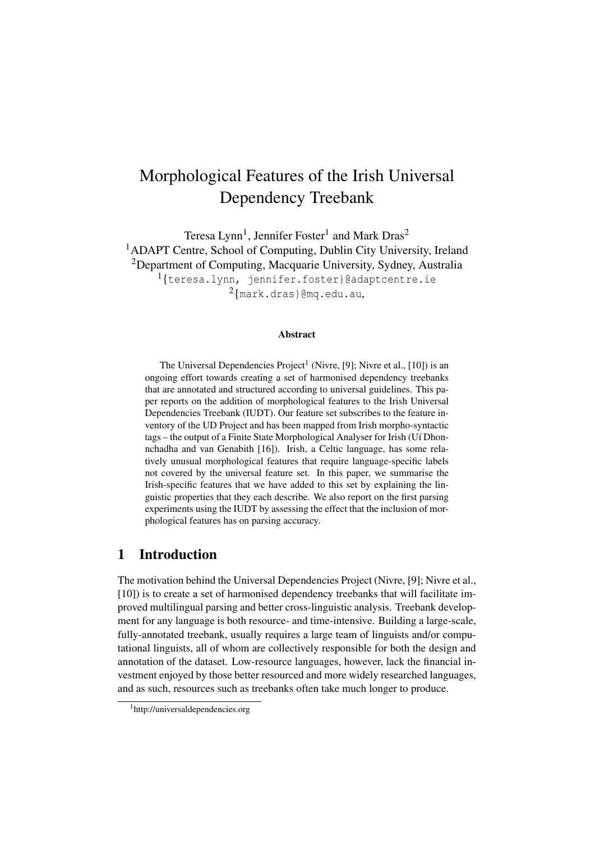# Morphological Features of the Irish Universal Dependency Treebank

Teresa Lynn<sup>1</sup>, Jennifer Foster<sup>1</sup> and Mark Dras<sup>2</sup> <sup>1</sup>ADAPT Centre, School of Computing, Dublin City University, Ireland <sup>2</sup>Department of Computing, Macquarie University, Sydney, Australia 1 {teresa.lynn, jennifer.foster}@adaptcentre.ie  $^{2}$ {mark.dras}@mq.edu.au,

#### Abstract

The Universal Dependencies Project<sup>1</sup> (Nivre, [9]; Nivre et al., [10]) is an ongoing effort towards creating a set of harmonised dependency treebanks that are annotated and structured according to universal guidelines. This paper reports on the addition of morphological features to the Irish Universal Dependencies Treebank (IUDT). Our feature set subscribes to the feature inventory of the UD Project and has been mapped from Irish morpho-syntactic tags – the output of a Finite State Morphological Analyser for Irish (Uí Dhonnchadha and van Genabith [16]). Irish, a Celtic language, has some relatively unusual morphological features that require language-specific labels not covered by the universal feature set. In this paper, we summarise the Irish-specific features that we have added to this set by explaining the linguistic properties that they each describe. We also report on the first parsing experiments using the IUDT by assessing the effect that the inclusion of morphological features has on parsing accuracy.

## 1 Introduction

The motivation behind the Universal Dependencies Project (Nivre, [9]; Nivre et al., [10]) is to create a set of harmonised dependency treebanks that will facilitate improved multilingual parsing and better cross-linguistic analysis. Treebank development for any language is both resource- and time-intensive. Building a large-scale, fully-annotated treebank, usually requires a large team of linguists and/or computational linguists, all of whom are collectively responsible for both the design and annotation of the dataset. Low-resource languages, however, lack the financial investment enjoyed by those better resourced and more widely researched languages, and as such, resources such as treebanks often take much longer to produce.

<sup>&</sup>lt;sup>1</sup>http://universaldependencies.org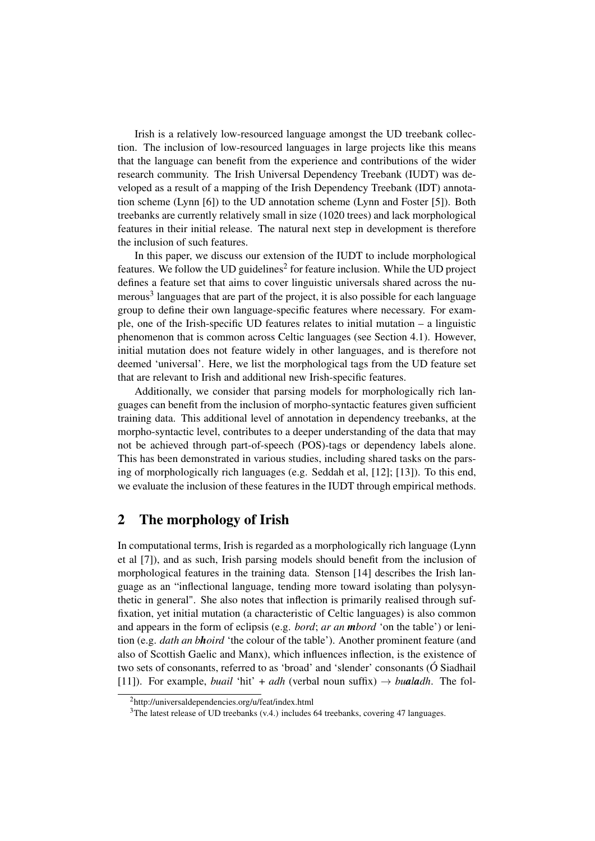Irish is a relatively low-resourced language amongst the UD treebank collection. The inclusion of low-resourced languages in large projects like this means that the language can benefit from the experience and contributions of the wider research community. The Irish Universal Dependency Treebank (IUDT) was developed as a result of a mapping of the Irish Dependency Treebank (IDT) annotation scheme (Lynn [6]) to the UD annotation scheme (Lynn and Foster [5]). Both treebanks are currently relatively small in size (1020 trees) and lack morphological features in their initial release. The natural next step in development is therefore the inclusion of such features.

In this paper, we discuss our extension of the IUDT to include morphological features. We follow the UD guidelines<sup>2</sup> for feature inclusion. While the UD project defines a feature set that aims to cover linguistic universals shared across the numerous<sup>3</sup> languages that are part of the project, it is also possible for each language group to define their own language-specific features where necessary. For example, one of the Irish-specific UD features relates to initial mutation – a linguistic phenomenon that is common across Celtic languages (see Section 4.1). However, initial mutation does not feature widely in other languages, and is therefore not deemed 'universal'. Here, we list the morphological tags from the UD feature set that are relevant to Irish and additional new Irish-specific features.

Additionally, we consider that parsing models for morphologically rich languages can benefit from the inclusion of morpho-syntactic features given sufficient training data. This additional level of annotation in dependency treebanks, at the morpho-syntactic level, contributes to a deeper understanding of the data that may not be achieved through part-of-speech (POS)-tags or dependency labels alone. This has been demonstrated in various studies, including shared tasks on the parsing of morphologically rich languages (e.g. Seddah et al, [12]; [13]). To this end, we evaluate the inclusion of these features in the IUDT through empirical methods.

# 2 The morphology of Irish

In computational terms, Irish is regarded as a morphologically rich language (Lynn et al [7]), and as such, Irish parsing models should benefit from the inclusion of morphological features in the training data. Stenson [14] describes the Irish language as an "inflectional language, tending more toward isolating than polysynthetic in general". She also notes that inflection is primarily realised through suffixation, yet initial mutation (a characteristic of Celtic languages) is also common and appears in the form of eclipsis (e.g. *bord*; *ar an mbord* 'on the table') or lenition (e.g. *dath an bhoird* 'the colour of the table'). Another prominent feature (and also of Scottish Gaelic and Manx), which influences inflection, is the existence of two sets of consonants, referred to as 'broad' and 'slender' consonants (Ó Siadhail [11]). For example, *buail* 'hit' + *adh* (verbal noun suffix)  $\rightarrow$  *bualadh*. The fol-

<sup>2</sup>http://universaldependencies.org/u/feat/index.html

<sup>&</sup>lt;sup>3</sup>The latest release of UD treebanks (v.4.) includes 64 treebanks, covering 47 languages.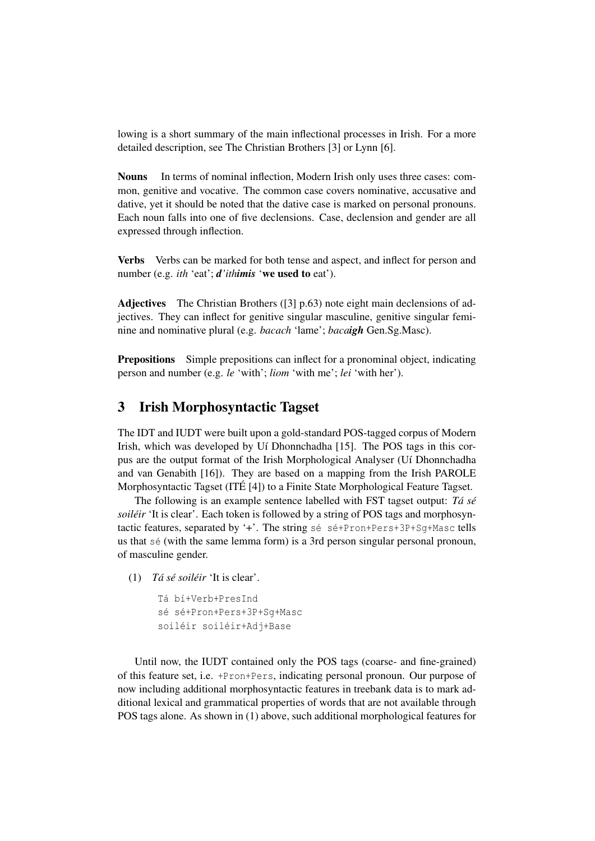lowing is a short summary of the main inflectional processes in Irish. For a more detailed description, see The Christian Brothers [3] or Lynn [6].

Nouns In terms of nominal inflection, Modern Irish only uses three cases: common, genitive and vocative. The common case covers nominative, accusative and dative, yet it should be noted that the dative case is marked on personal pronouns. Each noun falls into one of five declensions. Case, declension and gender are all expressed through inflection.

Verbs Verbs can be marked for both tense and aspect, and inflect for person and number (e.g. *ith* 'eat'; *d'ithimis* 'we used to eat').

Adjectives The Christian Brothers ([3] p.63) note eight main declensions of adjectives. They can inflect for genitive singular masculine, genitive singular feminine and nominative plural (e.g. *bacach* 'lame'; *bacaigh* Gen.Sg.Masc).

Prepositions Simple prepositions can inflect for a pronominal object, indicating person and number (e.g. *le* 'with'; *liom* 'with me'; *lei* 'with her').

# 3 Irish Morphosyntactic Tagset

The IDT and IUDT were built upon a gold-standard POS-tagged corpus of Modern Irish, which was developed by Uí Dhonnchadha [15]. The POS tags in this corpus are the output format of the Irish Morphological Analyser (Uí Dhonnchadha and van Genabith [16]). They are based on a mapping from the Irish PAROLE Morphosyntactic Tagset (ITÉ [4]) to a Finite State Morphological Feature Tagset.

The following is an example sentence labelled with FST tagset output: *Tá sé soiléir* 'It is clear'. Each token is followed by a string of POS tags and morphosyntactic features, separated by '+'. The string sé sé+Pron+Pers+3P+Sg+Masc tells us that sé (with the same lemma form) is a 3rd person singular personal pronoun, of masculine gender.

- (1) *Tá sé soiléir* 'It is clear'.
	- Tá bí+Verb+PresInd sé sé+Pron+Pers+3P+Sg+Masc soiléir soiléir+Adj+Base

Until now, the IUDT contained only the POS tags (coarse- and fine-grained) of this feature set, i.e. +Pron+Pers, indicating personal pronoun. Our purpose of now including additional morphosyntactic features in treebank data is to mark additional lexical and grammatical properties of words that are not available through POS tags alone. As shown in (1) above, such additional morphological features for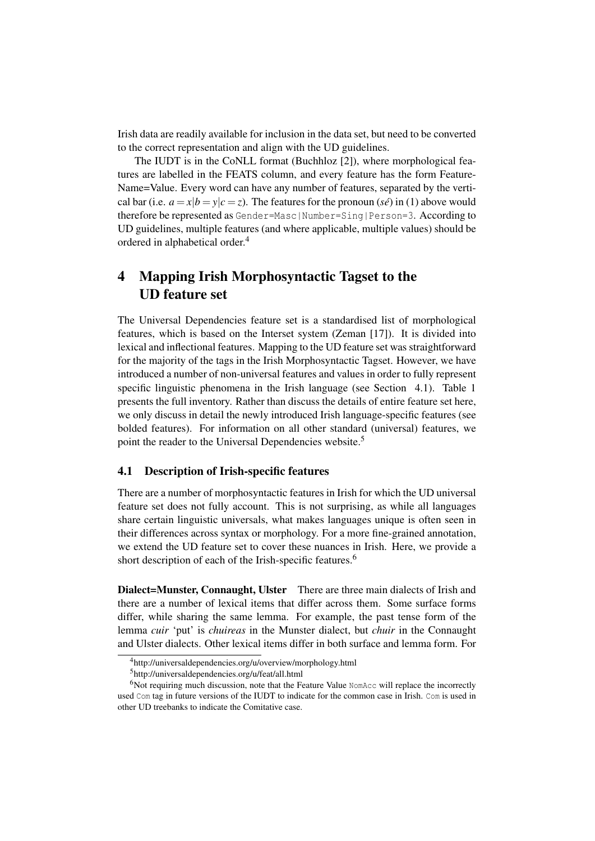Irish data are readily available for inclusion in the data set, but need to be converted to the correct representation and align with the UD guidelines.

The IUDT is in the CoNLL format (Buchhloz [2]), where morphological features are labelled in the FEATS column, and every feature has the form Feature-Name=Value. Every word can have any number of features, separated by the vertical bar (i.e.  $a = x/b = y/c = z$ ). The features for the pronoun (*sé*) in (1) above would therefore be represented as Gender=Masc|Number=Sing|Person=3. According to UD guidelines, multiple features (and where applicable, multiple values) should be ordered in alphabetical order.<sup>4</sup>

# 4 Mapping Irish Morphosyntactic Tagset to the UD feature set

The Universal Dependencies feature set is a standardised list of morphological features, which is based on the Interset system (Zeman [17]). It is divided into lexical and inflectional features. Mapping to the UD feature set was straightforward for the majority of the tags in the Irish Morphosyntactic Tagset. However, we have introduced a number of non-universal features and values in order to fully represent specific linguistic phenomena in the Irish language (see Section 4.1). Table 1 presents the full inventory. Rather than discuss the details of entire feature set here, we only discuss in detail the newly introduced Irish language-specific features (see bolded features). For information on all other standard (universal) features, we point the reader to the Universal Dependencies website.<sup>5</sup>

#### 4.1 Description of Irish-specific features

There are a number of morphosyntactic features in Irish for which the UD universal feature set does not fully account. This is not surprising, as while all languages share certain linguistic universals, what makes languages unique is often seen in their differences across syntax or morphology. For a more fine-grained annotation, we extend the UD feature set to cover these nuances in Irish. Here, we provide a short description of each of the Irish-specific features.<sup>6</sup>

Dialect=Munster, Connaught, Ulster There are three main dialects of Irish and there are a number of lexical items that differ across them. Some surface forms differ, while sharing the same lemma. For example, the past tense form of the lemma *cuir* 'put' is *chuireas* in the Munster dialect, but *chuir* in the Connaught and Ulster dialects. Other lexical items differ in both surface and lemma form. For

<sup>4</sup>http://universaldependencies.org/u/overview/morphology.html

<sup>5</sup>http://universaldependencies.org/u/feat/all.html

 $6$ Not requiring much discussion, note that the Feature Value NomAcc will replace the incorrectly used Com tag in future versions of the IUDT to indicate for the common case in Irish. Com is used in other UD treebanks to indicate the Comitative case.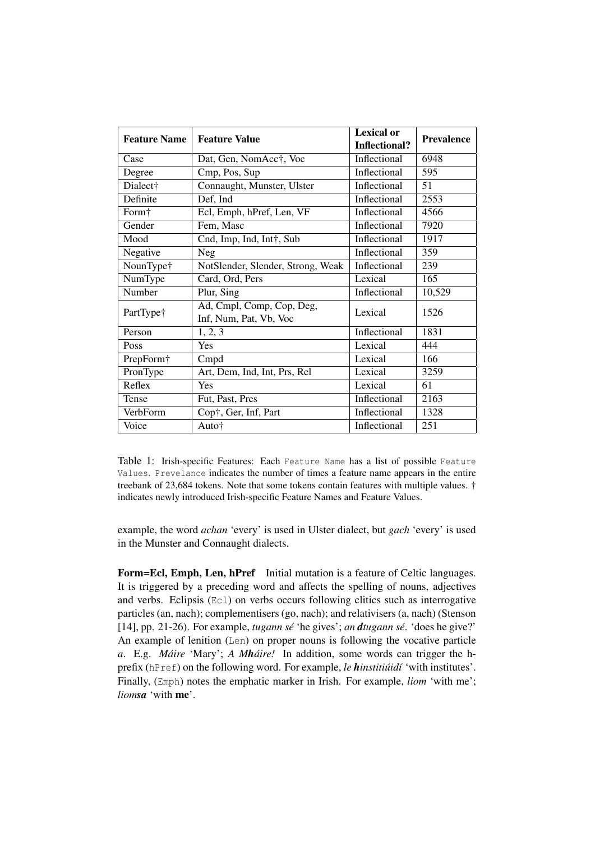| <b>Feature Name</b> | <b>Feature Value</b>                                | <b>Lexical or</b><br>Inflectional? | <b>Prevalence</b> |
|---------------------|-----------------------------------------------------|------------------------------------|-------------------|
| Case                | Dat, Gen, NomAcc†, Voc                              | Inflectional                       |                   |
| Degree              | Cmp, Pos, Sup                                       | Inflectional                       | 595               |
| Dialect†            | Connaught, Munster, Ulster                          | Inflectional                       | 51                |
| Definite            | Def, Ind                                            | Inflectional                       | 2553              |
| Form†               | Ecl, Emph, hPref, Len, VF<br>Inflectional           |                                    | 4566              |
| Gender              | Inflectional<br>Fem, Masc                           |                                    | 7920              |
| Mood                | Inflectional<br>Cnd, Imp, Ind, Int†, Sub            |                                    | 1917              |
| Negative            | Inflectional<br><b>Neg</b>                          |                                    | 359               |
| NounType†           | NotSlender, Slender, Strong, Weak                   | Inflectional                       | 239               |
| NumType             | Card, Ord, Pers                                     | Lexical                            | 165               |
| Number              | Plur, Sing                                          | Inflectional                       | 10,529            |
| PartType†           | Ad, Cmpl, Comp, Cop, Deg,<br>Inf, Num, Pat, Vb, Voc | Lexical                            |                   |
| Person              | 1, 2, 3                                             | Inflectional                       | 1831              |
| Poss                | Yes                                                 | Lexical                            | 444               |
| PrepForm†           | Cmpd                                                | Lexical                            | 166               |
| PronType            | Art, Dem, Ind, Int, Prs, Rel                        | Lexical                            | 3259              |
| Reflex              | Yes                                                 | Lexical                            | 61                |
| Tense               | Fut, Past, Pres                                     | Inflectional                       | 2163              |
| VerbForm            | Cop†, Ger, Inf, Part                                | Inflectional                       | 1328              |
| Voice               | Auto†                                               | Inflectional                       | 251               |

Table 1: Irish-specific Features: Each Feature Name has a list of possible Feature Values. Prevelance indicates the number of times a feature name appears in the entire treebank of 23,684 tokens. Note that some tokens contain features with multiple values. † indicates newly introduced Irish-specific Feature Names and Feature Values.

example, the word *achan* 'every' is used in Ulster dialect, but *gach* 'every' is used in the Munster and Connaught dialects.

Form=Ecl, Emph, Len, hPref Initial mutation is a feature of Celtic languages. It is triggered by a preceding word and affects the spelling of nouns, adjectives and verbs. Eclipsis (Ecl) on verbs occurs following clitics such as interrogative particles (an, nach); complementisers (go, nach); and relativisers (a, nach) (Stenson [14], pp. 21-26). For example, *tugann sé* 'he gives'; *an dtugann sé*. 'does he give?' An example of lenition (Len) on proper nouns is following the vocative particle *a*. E.g. *Máire* 'Mary'; *A Mháire!* In addition, some words can trigger the hprefix (hPref) on the following word. For example, *le hinstitiúidí* 'with institutes'. Finally, (Emph) notes the emphatic marker in Irish. For example, *liom* 'with me'; *liomsa* 'with me'.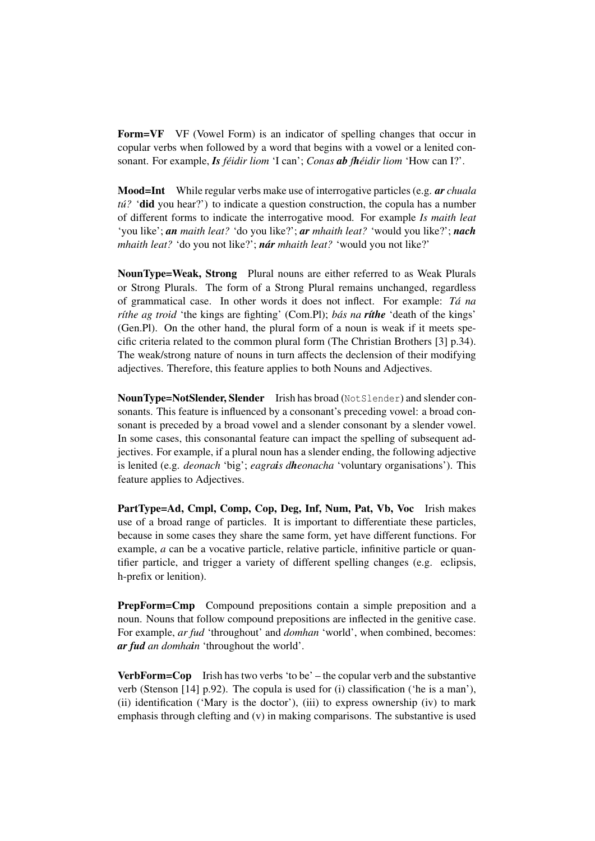Form=VF VF (Vowel Form) is an indicator of spelling changes that occur in copular verbs when followed by a word that begins with a vowel or a lenited consonant. For example, *Is féidir liom* 'I can'; *Conas ab fhéidir liom* 'How can I?'.

Mood=Int While regular verbs make use of interrogative particles (e.g. *ar chuala tú?* 'did you hear?') to indicate a question construction, the copula has a number of different forms to indicate the interrogative mood. For example *Is maith leat* 'you like'; *an maith leat?* 'do you like?'; *ar mhaith leat?* 'would you like?'; *nach mhaith leat?* 'do you not like?'; *nár mhaith leat?* 'would you not like?'

NounType=Weak, Strong Plural nouns are either referred to as Weak Plurals or Strong Plurals. The form of a Strong Plural remains unchanged, regardless of grammatical case. In other words it does not inflect. For example: *Tá na ríthe ag troid* 'the kings are fighting' (Com.Pl); *bás na ríthe* 'death of the kings' (Gen.Pl). On the other hand, the plural form of a noun is weak if it meets specific criteria related to the common plural form (The Christian Brothers [3] p.34). The weak/strong nature of nouns in turn affects the declension of their modifying adjectives. Therefore, this feature applies to both Nouns and Adjectives.

NounType=NotSlender, Slender Irish has broad (NotSlender) and slender consonants. This feature is influenced by a consonant's preceding vowel: a broad consonant is preceded by a broad vowel and a slender consonant by a slender vowel. In some cases, this consonantal feature can impact the spelling of subsequent adjectives. For example, if a plural noun has a slender ending, the following adjective is lenited (e.g. *deonach* 'big'; *eagrais dheonacha* 'voluntary organisations'). This feature applies to Adjectives.

PartType=Ad, Cmpl, Comp, Cop, Deg, Inf, Num, Pat, Vb, Voc Irish makes use of a broad range of particles. It is important to differentiate these particles, because in some cases they share the same form, yet have different functions. For example, *a* can be a vocative particle, relative particle, infinitive particle or quantifier particle, and trigger a variety of different spelling changes (e.g. eclipsis, h-prefix or lenition).

PrepForm=Cmp Compound prepositions contain a simple preposition and a noun. Nouns that follow compound prepositions are inflected in the genitive case. For example, *ar fud* 'throughout' and *domhan* 'world', when combined, becomes: *ar fud an domhain* 'throughout the world'.

**VerbForm=Cop** Irish has two verbs 'to be' – the copular verb and the substantive verb (Stenson [14] p.92). The copula is used for (i) classification ('he is a man'), (ii) identification ('Mary is the doctor'), (iii) to express ownership (iv) to mark emphasis through clefting and (v) in making comparisons. The substantive is used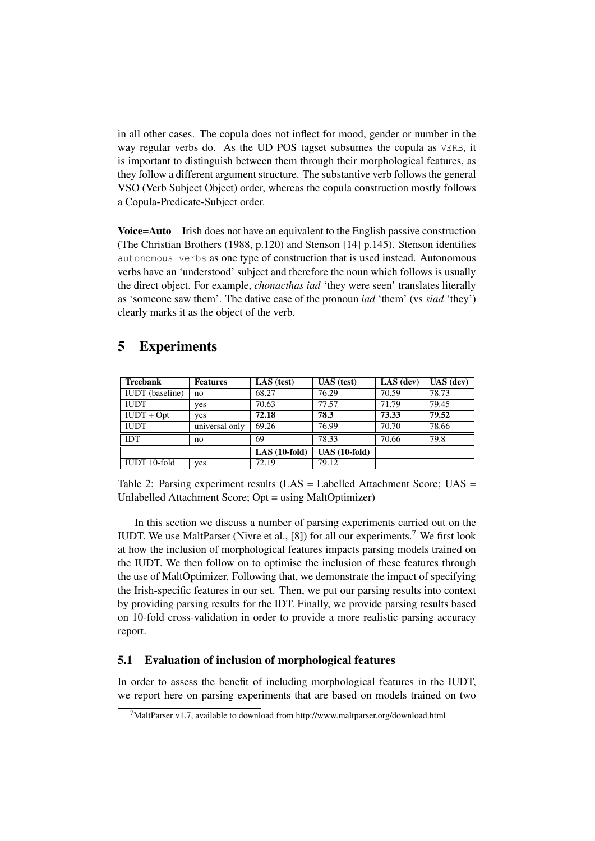in all other cases. The copula does not inflect for mood, gender or number in the way regular verbs do. As the UD POS tagset subsumes the copula as VERB, it is important to distinguish between them through their morphological features, as they follow a different argument structure. The substantive verb follows the general VSO (Verb Subject Object) order, whereas the copula construction mostly follows a Copula-Predicate-Subject order.

Voice=Auto Irish does not have an equivalent to the English passive construction (The Christian Brothers (1988, p.120) and Stenson [14] p.145). Stenson identifies autonomous verbs as one type of construction that is used instead. Autonomous verbs have an 'understood' subject and therefore the noun which follows is usually the direct object. For example, *chonacthas iad* 'they were seen' translates literally as 'someone saw them'. The dative case of the pronoun *iad* 'them' (vs *siad* 'they') clearly marks it as the object of the verb.

# 5 Experiments

| <b>Treebank</b>        | <b>Features</b> | LAS (test)     | $UAS$ (test)   | $LAS$ (dev) | $UAS$ (dev) |
|------------------------|-----------------|----------------|----------------|-------------|-------------|
| <b>IUDT</b> (baseline) | no              | 68.27          | 76.29          | 70.59       | 78.73       |
| <b>IUDT</b>            | yes             | 70.63          | 77.57          | 71.79       | 79.45       |
| $IUDT + Opt$           | yes             | 72.18          | 78.3           | 73.33       | 79.52       |
| <b>IUDT</b>            | universal only  | 69.26          | 76.99          | 70.70       | 78.66       |
| <b>IDT</b>             | no              | 69             | 78.33          | 70.66       | 79.8        |
|                        |                 | $LAS(10-fold)$ | $UAS(10-fold)$ |             |             |
| IUDT 10-fold           | yes             | 72.19          | 79.12          |             |             |

Table 2: Parsing experiment results (LAS = Labelled Attachment Score; UAS = Unlabelled Attachment Score; Opt = using MaltOptimizer)

In this section we discuss a number of parsing experiments carried out on the IUDT. We use MaltParser (Nivre et al.,  $[8]$ ) for all our experiments.<sup>7</sup> We first look at how the inclusion of morphological features impacts parsing models trained on the IUDT. We then follow on to optimise the inclusion of these features through the use of MaltOptimizer. Following that, we demonstrate the impact of specifying the Irish-specific features in our set. Then, we put our parsing results into context by providing parsing results for the IDT. Finally, we provide parsing results based on 10-fold cross-validation in order to provide a more realistic parsing accuracy report.

## 5.1 Evaluation of inclusion of morphological features

In order to assess the benefit of including morphological features in the IUDT, we report here on parsing experiments that are based on models trained on two

<sup>&</sup>lt;sup>7</sup>MaltParser v1.7, available to download from http://www.maltparser.org/download.html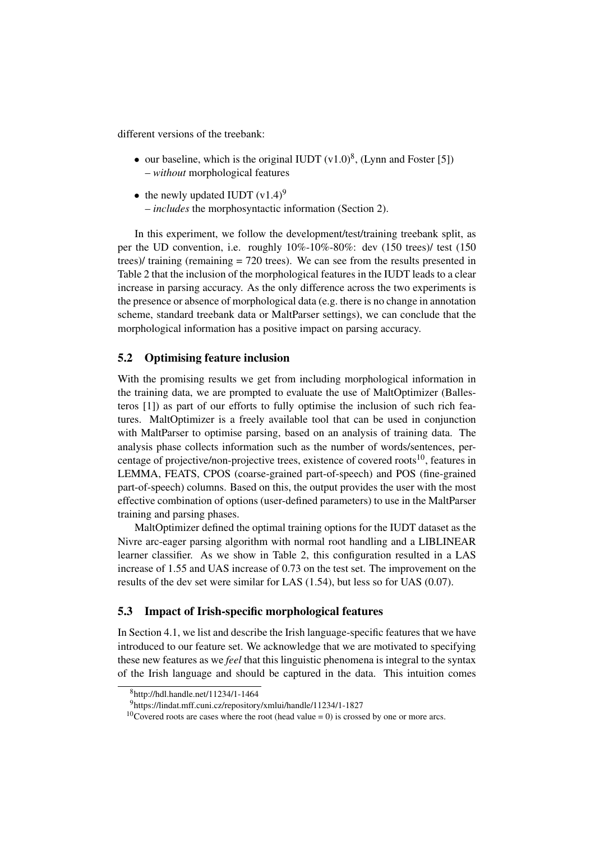different versions of the treebank:

- our baseline, which is the original IUDT  $(v1.0)^8$ , (Lynn and Foster [5]) – *without* morphological features
- the newly updated IUDT  $(v1.4)^9$ – *includes* the morphosyntactic information (Section 2).

In this experiment, we follow the development/test/training treebank split, as per the UD convention, i.e. roughly 10%-10%-80%: dev (150 trees)/ test (150 trees)/ training (remaining = 720 trees). We can see from the results presented in Table 2 that the inclusion of the morphological features in the IUDT leads to a clear increase in parsing accuracy. As the only difference across the two experiments is the presence or absence of morphological data (e.g. there is no change in annotation scheme, standard treebank data or MaltParser settings), we can conclude that the morphological information has a positive impact on parsing accuracy.

#### 5.2 Optimising feature inclusion

With the promising results we get from including morphological information in the training data, we are prompted to evaluate the use of MaltOptimizer (Ballesteros [1]) as part of our efforts to fully optimise the inclusion of such rich features. MaltOptimizer is a freely available tool that can be used in conjunction with MaltParser to optimise parsing, based on an analysis of training data. The analysis phase collects information such as the number of words/sentences, percentage of projective/non-projective trees, existence of covered roots $^{10}$ , features in LEMMA, FEATS, CPOS (coarse-grained part-of-speech) and POS (fine-grained part-of-speech) columns. Based on this, the output provides the user with the most effective combination of options (user-defined parameters) to use in the MaltParser training and parsing phases.

MaltOptimizer defined the optimal training options for the IUDT dataset as the Nivre arc-eager parsing algorithm with normal root handling and a LIBLINEAR learner classifier. As we show in Table 2, this configuration resulted in a LAS increase of 1.55 and UAS increase of 0.73 on the test set. The improvement on the results of the dev set were similar for LAS (1.54), but less so for UAS (0.07).

#### 5.3 Impact of Irish-specific morphological features

In Section 4.1, we list and describe the Irish language-specific features that we have introduced to our feature set. We acknowledge that we are motivated to specifying these new features as we *feel* that this linguistic phenomena is integral to the syntax of the Irish language and should be captured in the data. This intuition comes

<sup>8</sup>http://hdl.handle.net/11234/1-1464

<sup>9</sup>https://lindat.mff.cuni.cz/repository/xmlui/handle/11234/1-1827

<sup>&</sup>lt;sup>10</sup>Covered roots are cases where the root (head value = 0) is crossed by one or more arcs.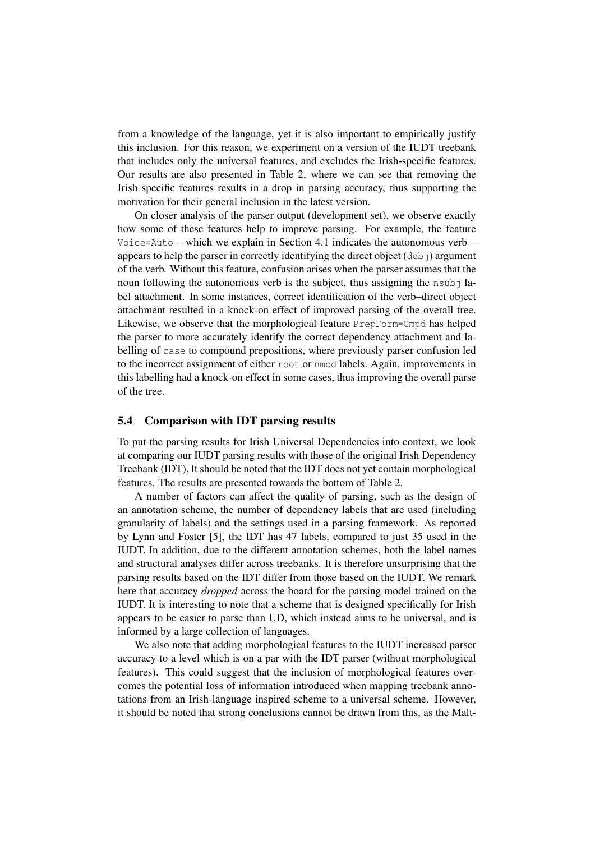from a knowledge of the language, yet it is also important to empirically justify this inclusion. For this reason, we experiment on a version of the IUDT treebank that includes only the universal features, and excludes the Irish-specific features. Our results are also presented in Table 2, where we can see that removing the Irish specific features results in a drop in parsing accuracy, thus supporting the motivation for their general inclusion in the latest version.

On closer analysis of the parser output (development set), we observe exactly how some of these features help to improve parsing. For example, the feature Voice=Auto – which we explain in Section 4.1 indicates the autonomous verb – appears to help the parser in correctly identifying the direct object  $(d \circ b)$  argument of the verb. Without this feature, confusion arises when the parser assumes that the noun following the autonomous verb is the subject, thus assigning the nsubbel attachment. In some instances, correct identification of the verb–direct object attachment resulted in a knock-on effect of improved parsing of the overall tree. Likewise, we observe that the morphological feature PrepForm=Cmpd has helped the parser to more accurately identify the correct dependency attachment and labelling of case to compound prepositions, where previously parser confusion led to the incorrect assignment of either root or nmod labels. Again, improvements in this labelling had a knock-on effect in some cases, thus improving the overall parse of the tree.

#### 5.4 Comparison with IDT parsing results

To put the parsing results for Irish Universal Dependencies into context, we look at comparing our IUDT parsing results with those of the original Irish Dependency Treebank (IDT). It should be noted that the IDT does not yet contain morphological features. The results are presented towards the bottom of Table 2.

A number of factors can affect the quality of parsing, such as the design of an annotation scheme, the number of dependency labels that are used (including granularity of labels) and the settings used in a parsing framework. As reported by Lynn and Foster [5], the IDT has 47 labels, compared to just 35 used in the IUDT. In addition, due to the different annotation schemes, both the label names and structural analyses differ across treebanks. It is therefore unsurprising that the parsing results based on the IDT differ from those based on the IUDT. We remark here that accuracy *dropped* across the board for the parsing model trained on the IUDT. It is interesting to note that a scheme that is designed specifically for Irish appears to be easier to parse than UD, which instead aims to be universal, and is informed by a large collection of languages.

We also note that adding morphological features to the IUDT increased parser accuracy to a level which is on a par with the IDT parser (without morphological features). This could suggest that the inclusion of morphological features overcomes the potential loss of information introduced when mapping treebank annotations from an Irish-language inspired scheme to a universal scheme. However, it should be noted that strong conclusions cannot be drawn from this, as the Malt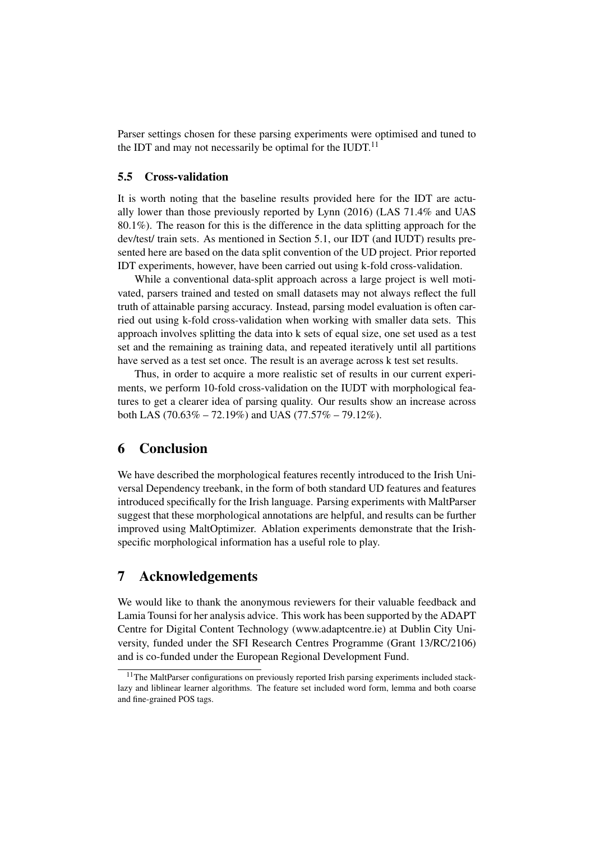Parser settings chosen for these parsing experiments were optimised and tuned to the IDT and may not necessarily be optimal for the IUDT. $^{11}$ 

#### 5.5 Cross-validation

It is worth noting that the baseline results provided here for the IDT are actually lower than those previously reported by Lynn (2016) (LAS 71.4% and UAS 80.1%). The reason for this is the difference in the data splitting approach for the dev/test/ train sets. As mentioned in Section 5.1, our IDT (and IUDT) results presented here are based on the data split convention of the UD project. Prior reported IDT experiments, however, have been carried out using k-fold cross-validation.

While a conventional data-split approach across a large project is well motivated, parsers trained and tested on small datasets may not always reflect the full truth of attainable parsing accuracy. Instead, parsing model evaluation is often carried out using k-fold cross-validation when working with smaller data sets. This approach involves splitting the data into k sets of equal size, one set used as a test set and the remaining as training data, and repeated iteratively until all partitions have served as a test set once. The result is an average across k test set results.

Thus, in order to acquire a more realistic set of results in our current experiments, we perform 10-fold cross-validation on the IUDT with morphological features to get a clearer idea of parsing quality. Our results show an increase across both LAS (70.63\% – 72.19\%) and UAS (77.57\% – 79.12\%).

## 6 Conclusion

We have described the morphological features recently introduced to the Irish Universal Dependency treebank, in the form of both standard UD features and features introduced specifically for the Irish language. Parsing experiments with MaltParser suggest that these morphological annotations are helpful, and results can be further improved using MaltOptimizer. Ablation experiments demonstrate that the Irishspecific morphological information has a useful role to play.

# 7 Acknowledgements

We would like to thank the anonymous reviewers for their valuable feedback and Lamia Tounsi for her analysis advice. This work has been supported by the ADAPT Centre for Digital Content Technology (www.adaptcentre.ie) at Dublin City University, funded under the SFI Research Centres Programme (Grant 13/RC/2106) and is co-funded under the European Regional Development Fund.

<sup>&</sup>lt;sup>11</sup>The MaltParser configurations on previously reported Irish parsing experiments included stacklazy and liblinear learner algorithms. The feature set included word form, lemma and both coarse and fine-grained POS tags.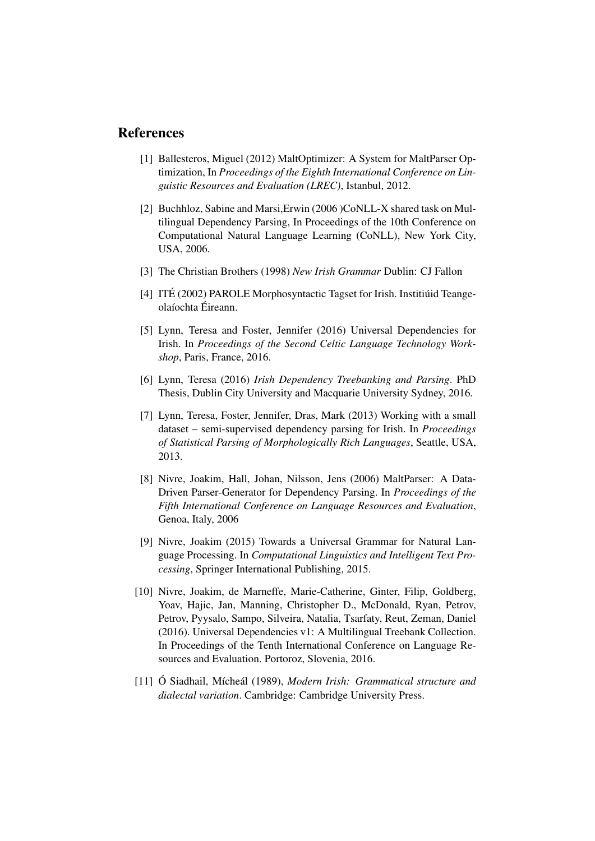## References

- [1] Ballesteros, Miguel (2012) MaltOptimizer: A System for MaltParser Optimization, In *Proceedings of the Eighth International Conference on Linguistic Resources and Evaluation (LREC)*, Istanbul, 2012.
- [2] Buchhloz, Sabine and Marsi,Erwin (2006 )CoNLL-X shared task on Multilingual Dependency Parsing, In Proceedings of the 10th Conference on Computational Natural Language Learning (CoNLL), New York City, USA, 2006.
- [3] The Christian Brothers (1998) *New Irish Grammar* Dublin: CJ Fallon
- [4] ITÉ (2002) PAROLE Morphosyntactic Tagset for Irish. Institiúid Teangeolaíochta Éireann.
- [5] Lynn, Teresa and Foster, Jennifer (2016) Universal Dependencies for Irish. In *Proceedings of the Second Celtic Language Technology Workshop*, Paris, France, 2016.
- [6] Lynn, Teresa (2016) *Irish Dependency Treebanking and Parsing*. PhD Thesis, Dublin City University and Macquarie University Sydney, 2016.
- [7] Lynn, Teresa, Foster, Jennifer, Dras, Mark (2013) Working with a small dataset – semi-supervised dependency parsing for Irish. In *Proceedings of Statistical Parsing of Morphologically Rich Languages*, Seattle, USA, 2013.
- [8] Nivre, Joakim, Hall, Johan, Nilsson, Jens (2006) MaltParser: A Data-Driven Parser-Generator for Dependency Parsing. In *Proceedings of the Fifth International Conference on Language Resources and Evaluation*, Genoa, Italy, 2006
- [9] Nivre, Joakim (2015) Towards a Universal Grammar for Natural Language Processing. In *Computational Linguistics and Intelligent Text Processing*, Springer International Publishing, 2015.
- [10] Nivre, Joakim, de Marneffe, Marie-Catherine, Ginter, Filip, Goldberg, Yoav, Hajic, Jan, Manning, Christopher D., McDonald, Ryan, Petrov, Petrov, Pyysalo, Sampo, Silveira, Natalia, Tsarfaty, Reut, Zeman, Daniel (2016). Universal Dependencies v1: A Multilingual Treebank Collection. In Proceedings of the Tenth International Conference on Language Resources and Evaluation. Portoroz, Slovenia, 2016.
- [11] Ó Siadhail, Mícheál (1989), *Modern Irish: Grammatical structure and dialectal variation*. Cambridge: Cambridge University Press.